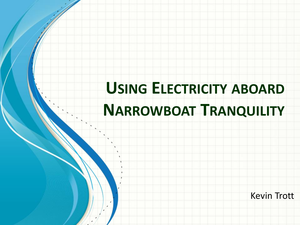# **USING ELECTRICITY ABOARD NARROWBOAT TRANQUILITY**

Kevin Trott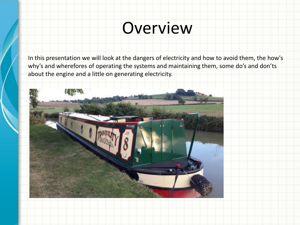## Overview

In this presentation we will look at the dangers of electricity and how to avoid them, the how's why's and wherefores of operating the systems and maintaining them, some do's and don'ts about the engine and a little on generating electricity.

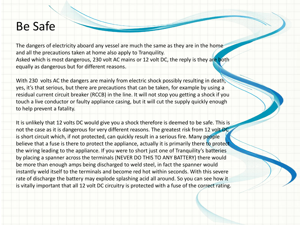### Be Safe

The dangers of electricity aboard any vessel are much the same as they are in the home and all the precautions taken at home also apply to Tranquility. Asked which is most dangerous, 230 volt AC mains or 12 volt DC, the reply is they are both equally as dangerous but for different reasons.

With 230 volts AC the dangers are mainly from electric shock possibly resulting in death, yes, it's that serious, but there are precautions that can be taken, for example by using a residual current circuit breaker (RCCB) in the line. It will not stop you getting a shock if you touch a live conductor or faulty appliance casing, but it will cut the supply quickly enough to help prevent a fatality.

It is unlikely that 12 volts DC would give you a shock therefore is deemed to be safe. This is not the case as it is dangerous for very different reasons. The greatest risk from 12 volt DC is short circuit which, if not protected, can quickly result in a serious fire. Many people believe that a fuse is there to protect the appliance, actually it is primarily there to protect the wiring leading to the appliance. If you were to short just one of Tranquility's batteries by placing a spanner across the terminals (NEVER DO THIS TO ANY BATTERY) there would be more than enough amps being discharged to weld steel, in fact the spanner would instantly weld itself to the terminals and become red hot within seconds. With this severe rate of discharge the battery may explode splashing acid all around. So you can see how it is vitally important that all 12 volt DC circuitry is protected with a fuse of the correct rating.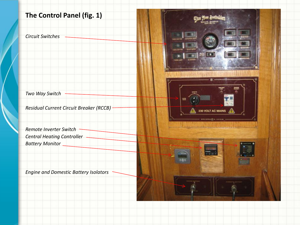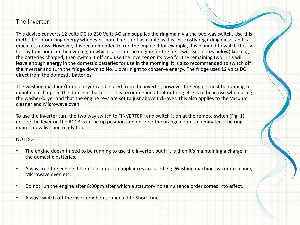#### The Inverter

This device converts 12 volts DC to 230 Volts AC and supplies the ring main via the two way switch. Use this method of producing energy whenever shore line is not available as it is less costly regarding diesel and is much less noisy. However, it is recommended to run the engine if for example, it is planned to watch the TV for say four hours in the evening, in which case run the engine for the first two, (see notes below) keeping the batteries charged, then switch it off and use the inverter on its own for the remaining two. This will leave enough energy in the domestic batteries for use in the morning. It is also recommended to switch off the inverter and turn the fridge down to No. 1 over night to conserve energy. The fridge uses 12 volts DC direct from the domestic batteries.

The washing machine/tumble dryer can be used from the inverter, however the engine must be running to maintain a charge in the domestic batteries. It is recommended that nothing else is to be in use when using the washer/dryer and that the engine revs are set to just above tick-over. This also applies to the Vacuum cleaner and Microwave oven.

To use the inverter turn the two way switch to "INVERTER" and switch it on at the remote switch (Fig. 1), ensure the lever on the RCCB is in the up position and observe the orange neon is illuminated. The ring main is now live and ready to use.

#### NOTES:-

- The engine doesn't need to be running to use the inverter, but if it is then it's maintaining a charge in the domestic batteries.
- Always run the engine if high consumption appliances are used e.g. Washing machine, Vacuum cleaner, Microwave oven etc.
- Do not run the engine after 8:00pm after which a statutory noise nuisance order comes into effect.
- Always switch off the inverter when connected to Shore Line.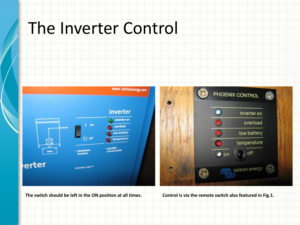### The Inverter Control



**The switch should be left in the ON position at all times. Control is via the remote switch also featured in Fig.1.**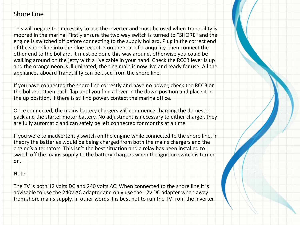#### Shore Line

This will negate the necessity to use the inverter and must be used when Tranquility is moored in the marina. Firstly ensure the two way switch is turned to "SHORE" and the engine is switched off before connecting to the supply bollard. Plug in the correct end of the shore line into the blue receptor on the rear of Tranquility, then connect the other end to the bollard. It must be done this way around, otherwise you could be walking around on the jetty with a live cable in your hand. Check the RCCB lever is up and the orange neon is illuminated, the ring main is now live and ready for use. All the appliances aboard Tranquility can be used from the shore line.

If you have connected the shore line correctly and have no power, check the RCCB on the bollard. Open each flap until you find a lever in the down position and place it in the up position. If there is still no power, contact the marina office.

Once connected, the mains battery chargers will commence charging the domestic pack and the starter motor battery. No adjustment is necessary to either charger, they are fully automatic and can safely be left connected for months at a time.

If you were to inadvertently switch on the engine while connected to the shore line, in theory the batteries would be being charged from both the mains chargers and the engine's alternators. This isn't the best situation and a relay has been installed to switch off the mains supply to the battery chargers when the ignition switch is turned on.

Note:-

The TV is both 12 volts DC and 240 volts AC. When connected to the shore line it is advisable to use the 240v AC adapter and only use the 12v DC adapter when away from shore mains supply. In other words it is best not to run the TV from the inverter.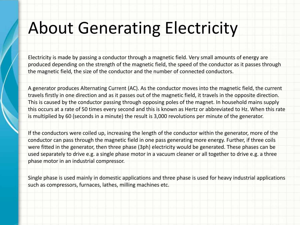## About Generating Electricity

Electricity is made by passing a conductor through a magnetic field. Very small amounts of energy are produced depending on the strength of the magnetic field, the speed of the conductor as it passes through the magnetic field, the size of the conductor and the number of connected conductors.

A generator produces Alternating Current (AC). As the conductor moves into the magnetic field, the current travels firstly in one direction and as it passes out of the magnetic field, it travels in the opposite direction. This is caused by the conductor passing through opposing poles of the magnet. In household mains supply this occurs at a rate of 50 times every second and this is known as Hertz or abbreviated to Hz. When this rate is multiplied by 60 (seconds in a minute) the result is 3,000 revolutions per minute of the generator.

If the conductors were coiled up, increasing the length of the conductor within the generator, more of the conductor can pass through the magnetic field in one pass generating more energy. Further, if three coils were fitted in the generator, then three phase (3ph) electricity would be generated. These phases can be used separately to drive e.g. a single phase motor in a vacuum cleaner or all together to drive e.g. a three phase motor in an industrial compressor.

Single phase is used mainly in domestic applications and three phase is used for heavy industrial applications such as compressors, furnaces, lathes, milling machines etc.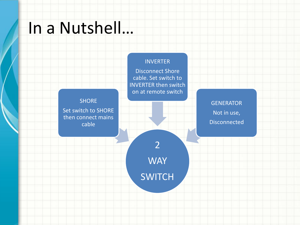### In a Nutshell…

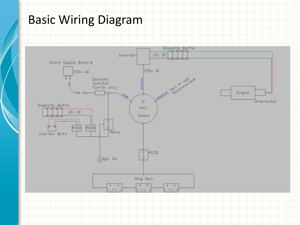### Basic Wiring Diagram